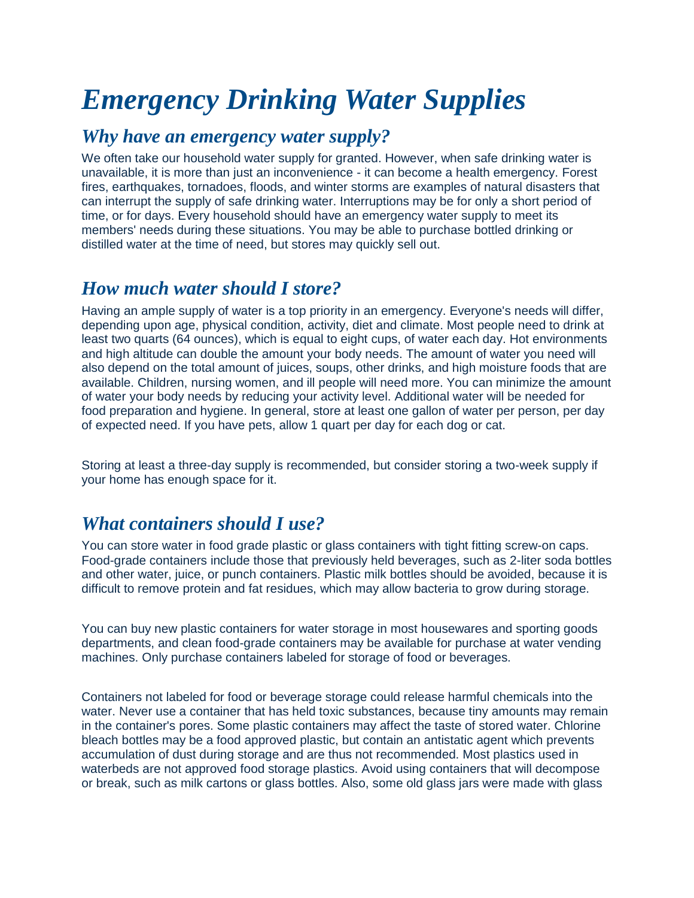# *Emergency Drinking Water Supplies*

## *Why have an emergency water supply?*

We often take our household water supply for granted. However, when safe drinking water is unavailable, it is more than just an inconvenience - it can become a health emergency. Forest fires, earthquakes, tornadoes, floods, and winter storms are examples of natural disasters that can interrupt the supply of safe drinking water. Interruptions may be for only a short period of time, or for days. Every household should have an emergency water supply to meet its members' needs during these situations. You may be able to purchase bottled drinking or distilled water at the time of need, but stores may quickly sell out.

### *How much water should I store?*

Having an ample supply of water is a top priority in an emergency. Everyone's needs will differ, depending upon age, physical condition, activity, diet and climate. Most people need to drink at least two quarts (64 ounces), which is equal to eight cups, of water each day. Hot environments and high altitude can double the amount your body needs. The amount of water you need will also depend on the total amount of juices, soups, other drinks, and high moisture foods that are available. Children, nursing women, and ill people will need more. You can minimize the amount of water your body needs by reducing your activity level. Additional water will be needed for food preparation and hygiene. In general, store at least one gallon of water per person, per day of expected need. If you have pets, allow 1 quart per day for each dog or cat.

Storing at least a three-day supply is recommended, but consider storing a two-week supply if your home has enough space for it.

# *What containers should I use?*

You can store water in food grade plastic or glass containers with tight fitting screw-on caps. Food-grade containers include those that previously held beverages, such as 2-liter soda bottles and other water, juice, or punch containers. Plastic milk bottles should be avoided, because it is difficult to remove protein and fat residues, which may allow bacteria to grow during storage.

You can buy new plastic containers for water storage in most housewares and sporting goods departments, and clean food-grade containers may be available for purchase at water vending machines. Only purchase containers labeled for storage of food or beverages.

Containers not labeled for food or beverage storage could release harmful chemicals into the water. Never use a container that has held toxic substances, because tiny amounts may remain in the container's pores. Some plastic containers may affect the taste of stored water. Chlorine bleach bottles may be a food approved plastic, but contain an antistatic agent which prevents accumulation of dust during storage and are thus not recommended. Most plastics used in waterbeds are not approved food storage plastics. Avoid using containers that will decompose or break, such as milk cartons or glass bottles. Also, some old glass jars were made with glass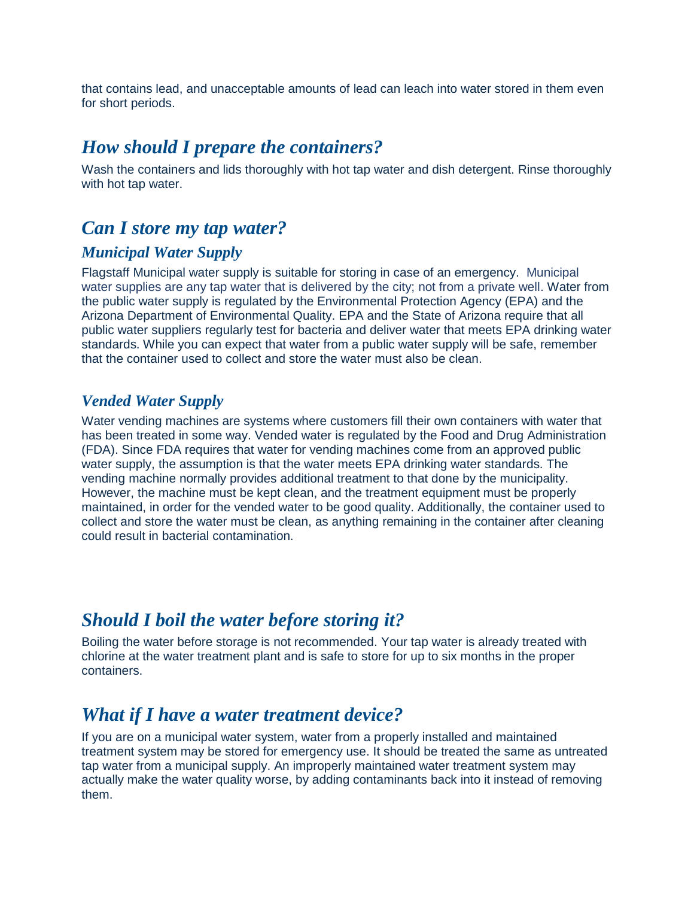that contains lead, and unacceptable amounts of lead can leach into water stored in them even for short periods.

#### *How should I prepare the containers?*

Wash the containers and lids thoroughly with hot tap water and dish detergent. Rinse thoroughly with hot tap water.

#### *Can I store my tap water?*

#### *Municipal Water Supply*

Flagstaff Municipal water supply is suitable for storing in case of an emergency. Municipal water supplies are any tap water that is delivered by the city; not from a private well. Water from the public water supply is regulated by the Environmental Protection Agency (EPA) and the Arizona Department of Environmental Quality. EPA and the State of Arizona require that all public water suppliers regularly test for bacteria and deliver water that meets EPA drinking water standards. While you can expect that water from a public water supply will be safe, remember that the container used to collect and store the water must also be clean.

#### *Vended Water Supply*

Water vending machines are systems where customers fill their own containers with water that has been treated in some way. Vended water is regulated by the Food and Drug Administration (FDA). Since FDA requires that water for vending machines come from an approved public water supply, the assumption is that the water meets EPA drinking water standards. The vending machine normally provides additional treatment to that done by the municipality. However, the machine must be kept clean, and the treatment equipment must be properly maintained, in order for the vended water to be good quality. Additionally, the container used to collect and store the water must be clean, as anything remaining in the container after cleaning could result in bacterial contamination.

### *Should I boil the water before storing it?*

Boiling the water before storage is not recommended. Your tap water is already treated with chlorine at the water treatment plant and is safe to store for up to six months in the proper containers.

### *What if I have a water treatment device?*

If you are on a municipal water system, water from a properly installed and maintained treatment system may be stored for emergency use. It should be treated the same as untreated tap water from a municipal supply. An improperly maintained water treatment system may actually make the water quality worse, by adding contaminants back into it instead of removing them.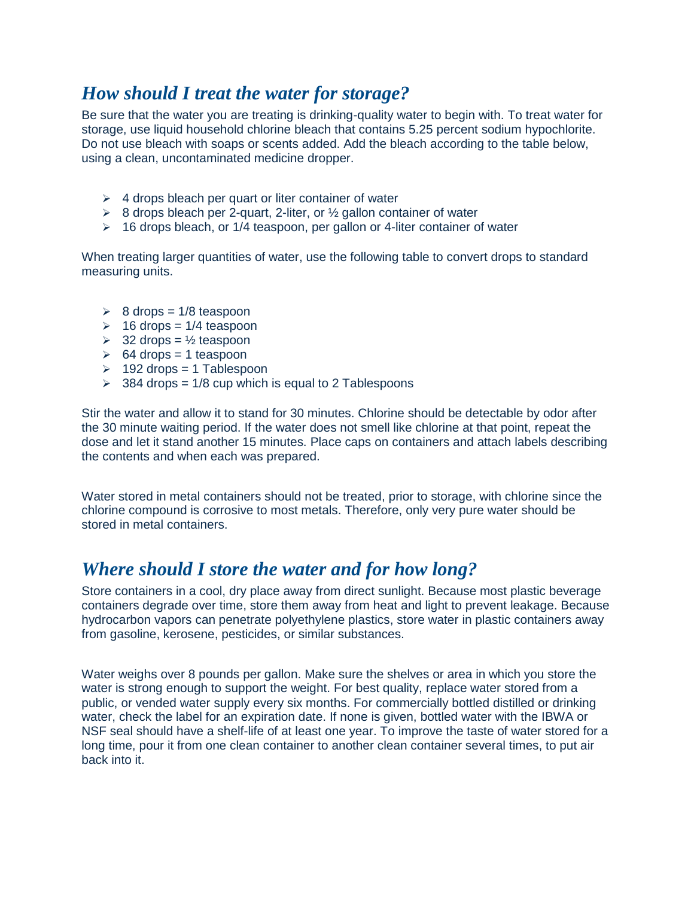# *How should I treat the water for storage?*

Be sure that the water you are treating is drinking-quality water to begin with. To treat water for storage, use liquid household chlorine bleach that contains 5.25 percent sodium hypochlorite. Do not use bleach with soaps or scents added. Add the bleach according to the table below, using a clean, uncontaminated medicine dropper.

- $\geq 4$  drops bleach per quart or liter container of water
- $\geq$  8 drops bleach per 2-quart, 2-liter, or  $\frac{1}{2}$  gallon container of water
- $\geq$  16 drops bleach, or 1/4 teaspoon, per gallon or 4-liter container of water

When treating larger quantities of water, use the following table to convert drops to standard measuring units.

- $\geq 8$  drops = 1/8 teaspoon
- $\geq$  16 drops = 1/4 teaspoon
- $\geq$  32 drops =  $\frac{1}{2}$  teaspoon
- $\geq 64$  drops = 1 teaspoon
- $\geq$  192 drops = 1 Tablespoon
- $\geq$  384 drops = 1/8 cup which is equal to 2 Tablespoons

Stir the water and allow it to stand for 30 minutes. Chlorine should be detectable by odor after the 30 minute waiting period. If the water does not smell like chlorine at that point, repeat the dose and let it stand another 15 minutes. Place caps on containers and attach labels describing the contents and when each was prepared.

Water stored in metal containers should not be treated, prior to storage, with chlorine since the chlorine compound is corrosive to most metals. Therefore, only very pure water should be stored in metal containers.

# *Where should I store the water and for how long?*

Store containers in a cool, dry place away from direct sunlight. Because most plastic beverage containers degrade over time, store them away from heat and light to prevent leakage. Because hydrocarbon vapors can penetrate polyethylene plastics, store water in plastic containers away from gasoline, kerosene, pesticides, or similar substances.

Water weighs over 8 pounds per gallon. Make sure the shelves or area in which you store the water is strong enough to support the weight. For best quality, replace water stored from a public, or vended water supply every six months. For commercially bottled distilled or drinking water, check the label for an expiration date. If none is given, bottled water with the IBWA or NSF seal should have a shelf-life of at least one year. To improve the taste of water stored for a long time, pour it from one clean container to another clean container several times, to put air back into it.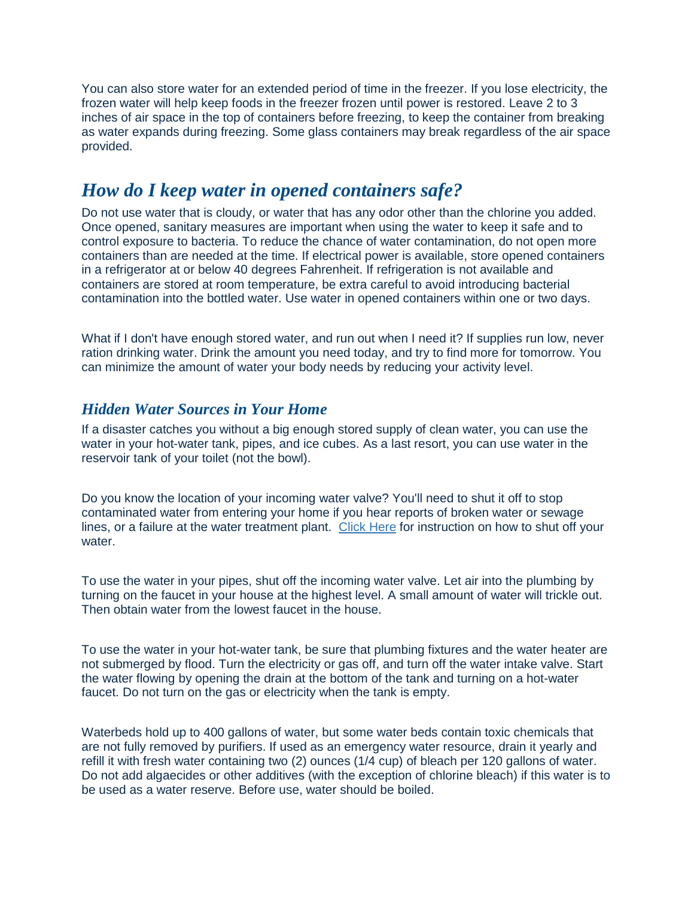You can also store water for an extended period of time in the freezer. If you lose electricity, the frozen water will help keep foods in the freezer frozen until power is restored. Leave 2 to 3 inches of air space in the top of containers before freezing, to keep the container from breaking as water expands during freezing. Some glass containers may break regardless of the air space provided.

## *How do I keep water in opened containers safe?*

Do not use water that is cloudy, or water that has any odor other than the chlorine you added. Once opened, sanitary measures are important when using the water to keep it safe and to control exposure to bacteria. To reduce the chance of water contamination, do not open more containers than are needed at the time. If electrical power is available, store opened containers in a refrigerator at or below 40 degrees Fahrenheit. If refrigeration is not available and containers are stored at room temperature, be extra careful to avoid introducing bacterial contamination into the bottled water. Use water in opened containers within one or two days.

What if I don't have enough stored water, and run out when I need it? If supplies run low, never ration drinking water. Drink the amount you need today, and try to find more for tomorrow. You can minimize the amount of water your body needs by reducing your activity level.

#### *Hidden Water Sources in Your Home*

If a disaster catches you without a big enough stored supply of clean water, you can use the water in your hot-water tank, pipes, and ice cubes. As a last resort, you can use water in the reservoir tank of your toilet (not the bowl).

Do you know the location of your incoming water valve? You'll need to shut it off to stop contaminated water from entering your home if you hear reports of broken water or sewage lines, or a failure at the water treatment plant. Click Here for instruction on how to shut off your water.

To use the water in your pipes, shut off the incoming water valve. Let air into the plumbing by turning on the faucet in your house at the highest level. A small amount of water will trickle out. Then obtain water from the lowest faucet in the house.

To use the water in your hot-water tank, be sure that plumbing fixtures and the water heater are not submerged by flood. Turn the electricity or gas off, and turn off the water intake valve. Start the water flowing by opening the drain at the bottom of the tank and turning on a hot-water faucet. Do not turn on the gas or electricity when the tank is empty.

Waterbeds hold up to 400 gallons of water, but some water beds contain toxic chemicals that are not fully removed by purifiers. If used as an emergency water resource, drain it yearly and refill it with fresh water containing two (2) ounces (1/4 cup) of bleach per 120 gallons of water. Do not add algaecides or other additives (with the exception of chlorine bleach) if this water is to be used as a water reserve. Before use, water should be boiled.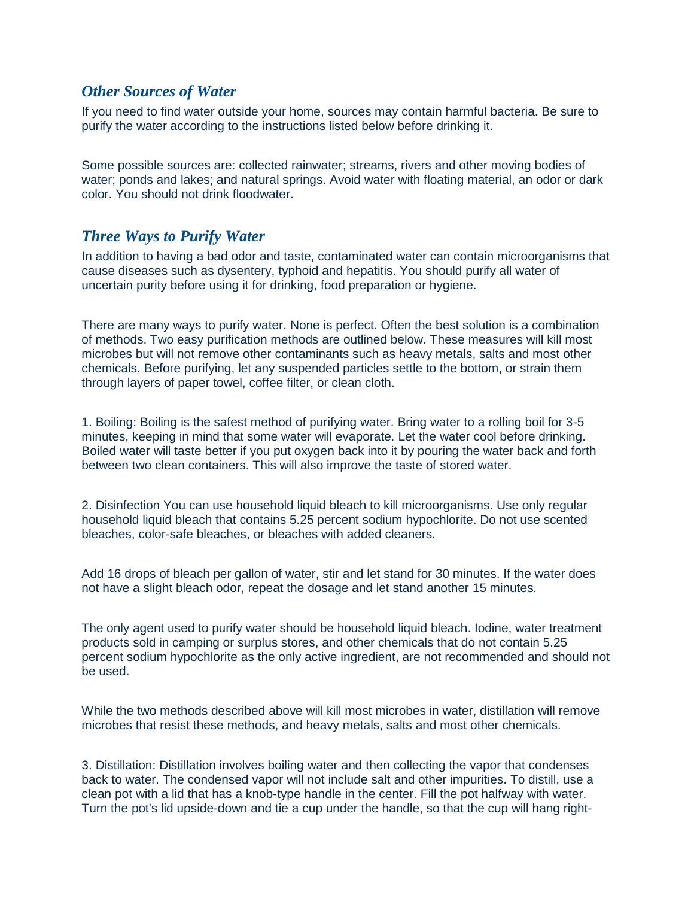#### *Other Sources of Water*

If you need to find water outside your home, sources may contain harmful bacteria. Be sure to purify the water according to the instructions listed below before drinking it.

Some possible sources are: collected rainwater; streams, rivers and other moving bodies of water; ponds and lakes; and natural springs. Avoid water with floating material, an odor or dark color. You should not drink floodwater.

#### *Three Ways to Purify Water*

In addition to having a bad odor and taste, contaminated water can contain microorganisms that cause diseases such as dysentery, typhoid and hepatitis. You should purify all water of uncertain purity before using it for drinking, food preparation or hygiene.

There are many ways to purify water. None is perfect. Often the best solution is a combination of methods. Two easy purification methods are outlined below. These measures will kill most microbes but will not remove other contaminants such as heavy metals, salts and most other chemicals. Before purifying, let any suspended particles settle to the bottom, or strain them through layers of paper towel, coffee filter, or clean cloth.

1. Boiling: Boiling is the safest method of purifying water. Bring water to a rolling boil for 3-5 minutes, keeping in mind that some water will evaporate. Let the water cool before drinking. Boiled water will taste better if you put oxygen back into it by pouring the water back and forth between two clean containers. This will also improve the taste of stored water.

2. Disinfection You can use household liquid bleach to kill microorganisms. Use only regular household liquid bleach that contains 5.25 percent sodium hypochlorite. Do not use scented bleaches, color-safe bleaches, or bleaches with added cleaners.

Add 16 drops of bleach per gallon of water, stir and let stand for 30 minutes. If the water does not have a slight bleach odor, repeat the dosage and let stand another 15 minutes.

The only agent used to purify water should be household liquid bleach. Iodine, water treatment products sold in camping or surplus stores, and other chemicals that do not contain 5.25 percent sodium hypochlorite as the only active ingredient, are not recommended and should not be used.

While the two methods described above will kill most microbes in water, distillation will remove microbes that resist these methods, and heavy metals, salts and most other chemicals.

3. Distillation: Distillation involves boiling water and then collecting the vapor that condenses back to water. The condensed vapor will not include salt and other impurities. To distill, use a clean pot with a lid that has a knob-type handle in the center. Fill the pot halfway with water. Turn the pot's lid upside-down and tie a cup under the handle, so that the cup will hang right